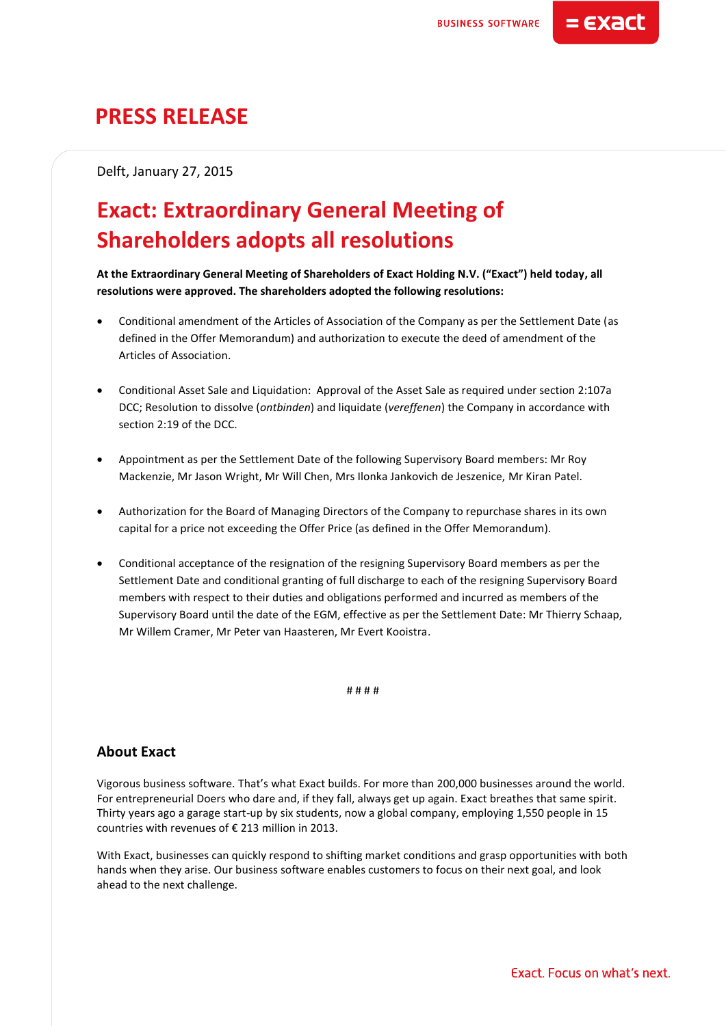= EXact

# **PRESS RELEASE**

Delft, January 27, 2015

# **Exact: Extraordinary General Meeting of Shareholders adopts all resolutions**

**At the Extraordinary General Meeting of Shareholders of Exact Holding N.V. ("Exact") held today, all resolutions were approved. The shareholders adopted the following resolutions:**

- Conditional amendment of the Articles of Association of the Company as per the Settlement Date (as defined in the Offer Memorandum) and authorization to execute the deed of amendment of the Articles of Association.
- Conditional Asset Sale and Liquidation: Approval of the Asset Sale as required under section 2:107a DCC; Resolution to dissolve (*ontbinden*) and liquidate (*vereffenen*) the Company in accordance with section 2:19 of the DCC.
- Appointment as per the Settlement Date of the following Supervisory Board members: Mr Roy Mackenzie, Mr Jason Wright, Mr Will Chen, Mrs Ilonka Jankovich de Jeszenice, Mr Kiran Patel.
- Authorization for the Board of Managing Directors of the Company to repurchase shares in its own capital for a price not exceeding the Offer Price (as defined in the Offer Memorandum).
- Conditional acceptance of the resignation of the resigning Supervisory Board members as per the Settlement Date and conditional granting of full discharge to each of the resigning Supervisory Board members with respect to their duties and obligations performed and incurred as members of the Supervisory Board until the date of the EGM, effective as per the Settlement Date: Mr Thierry Schaap, Mr Willem Cramer, Mr Peter van Haasteren, Mr Evert Kooistra.

# # # #

# **About Exact**

Vigorous business software. That's what Exact builds. For more than 200,000 businesses around the world. For entrepreneurial Doers who dare and, if they fall, always get up again. Exact breathes that same spirit. Thirty years ago a garage start-up by six students, now a global company, employing 1,550 people in 15 countries with revenues of € 213 million in 2013.

With Exact, businesses can quickly respond to shifting market conditions and grasp opportunities with both hands when they arise. Our business software enables customers to focus on their next goal, and look ahead to the next challenge.